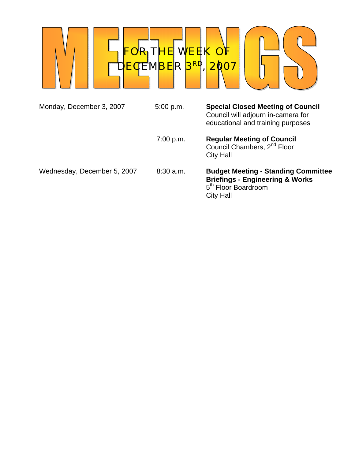

| Monday, December 3, 2007    | 5:00 p.m.   | <b>Special Closed Meeting of Council</b><br>Council will adjourn in-camera for<br>educational and training purposes                             |
|-----------------------------|-------------|-------------------------------------------------------------------------------------------------------------------------------------------------|
|                             | 7:00 p.m.   | <b>Regular Meeting of Council</b><br>Council Chambers, 2 <sup>nd</sup> Floor<br>City Hall                                                       |
| Wednesday, December 5, 2007 | $8:30$ a.m. | <b>Budget Meeting - Standing Committee</b><br><b>Briefings - Engineering &amp; Works</b><br>5 <sup>th</sup> Floor Boardroom<br><b>City Hall</b> |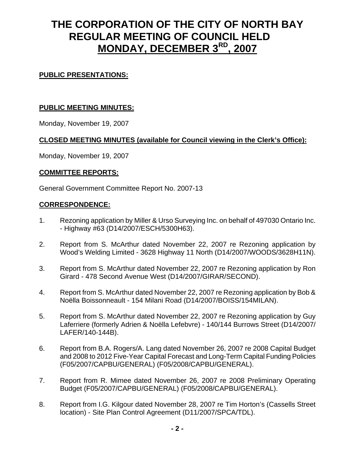# **THE CORPORATION OF THE CITY OF NORTH BAY REGULAR MEETING OF COUNCIL HELD MONDAY, DECEMBER 3RD, 2007**

# **PUBLIC PRESENTATIONS:**

# **PUBLIC MEETING MINUTES:**

Monday, November 19, 2007

## **CLOSED MEETING MINUTES (available for Council viewing in the Clerk's Office):**

Monday, November 19, 2007

## **COMMITTEE REPORTS:**

General Government Committee Report No. 2007-13

## **CORRESPONDENCE:**

- 1. Rezoning application by Miller & Urso Surveying Inc. on behalf of 497030 Ontario Inc. - Highway #63 (D14/2007/ESCH/5300H63).
- 2. Report from S. McArthur dated November 22, 2007 re Rezoning application by Wood's Welding Limited - 3628 Highway 11 North (D14/2007/WOODS/3628H11N).
- 3. Report from S. McArthur dated November 22, 2007 re Rezoning application by Ron Girard - 478 Second Avenue West (D14/2007/GIRAR/SECOND).
- 4. Report from S. McArthur dated November 22, 2007 re Rezoning application by Bob & Noëlla Boissonneault - 154 Milani Road (D14/2007/BOISS/154MILAN).
- 5. Report from S. McArthur dated November 22, 2007 re Rezoning application by Guy Laferriere (formerly Adrien & Noëlla Lefebvre) - 140/144 Burrows Street (D14/2007/ LAFER/140-144B).
- 6. Report from B.A. Rogers/A. Lang dated November 26, 2007 re 2008 Capital Budget and 2008 to 2012 Five-Year Capital Forecast and Long-Term Capital Funding Policies (F05/2007/CAPBU/GENERAL) (F05/2008/CAPBU/GENERAL).
- 7. Report from R. Mimee dated November 26, 2007 re 2008 Preliminary Operating Budget (F05/2007/CAPBU/GENERAL) (F05/2008/CAPBU/GENERAL).
- 8. Report from I.G. Kilgour dated November 28, 2007 re Tim Horton's (Cassells Street location) - Site Plan Control Agreement (D11/2007/SPCA/TDL).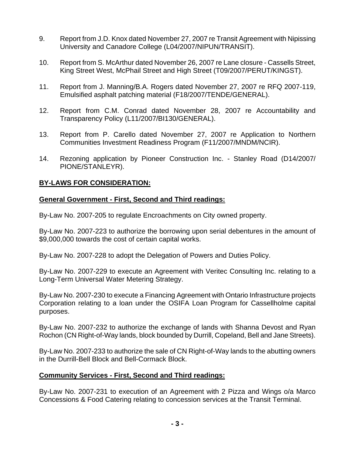- 9. Report from J.D. Knox dated November 27, 2007 re Transit Agreement with Nipissing University and Canadore College (L04/2007/NIPUN/TRANSIT).
- 10. Report from S. McArthur dated November 26, 2007 re Lane closure Cassells Street, King Street West, McPhail Street and High Street (T09/2007/PERUT/KINGST).
- 11. Report from J. Manning/B.A. Rogers dated November 27, 2007 re RFQ 2007-119, Emulsified asphalt patching material (F18/2007/TENDE/GENERAL).
- 12. Report from C.M. Conrad dated November 28, 2007 re Accountability and Transparency Policy (L11/2007/BI130/GENERAL).
- 13. Report from P. Carello dated November 27, 2007 re Application to Northern Communities Investment Readiness Program (F11/2007/MNDM/NCIR).
- 14. Rezoning application by Pioneer Construction Inc. Stanley Road (D14/2007/ PIONE/STANLEYR).

## **BY-LAWS FOR CONSIDERATION:**

## **General Government - First, Second and Third readings:**

By-Law No. 2007-205 to regulate Encroachments on City owned property.

By-Law No. 2007-223 to authorize the borrowing upon serial debentures in the amount of \$9,000,000 towards the cost of certain capital works.

By-Law No. 2007-228 to adopt the Delegation of Powers and Duties Policy.

By-Law No. 2007-229 to execute an Agreement with Veritec Consulting Inc. relating to a Long-Term Universal Water Metering Strategy.

By-Law No. 2007-230 to execute a Financing Agreement with Ontario Infrastructure projects Corporation relating to a loan under the OSIFA Loan Program for Cassellholme capital purposes.

By-Law No. 2007-232 to authorize the exchange of lands with Shanna Devost and Ryan Rochon (CN Right-of-Way lands, block bounded by Durrill, Copeland, Bell and Jane Streets).

By-Law No. 2007-233 to authorize the sale of CN Right-of-Way lands to the abutting owners in the Durrill-Bell Block and Bell-Cormack Block.

## **Community Services - First, Second and Third readings:**

By-Law No. 2007-231 to execution of an Agreement with 2 Pizza and Wings o/a Marco Concessions & Food Catering relating to concession services at the Transit Terminal.